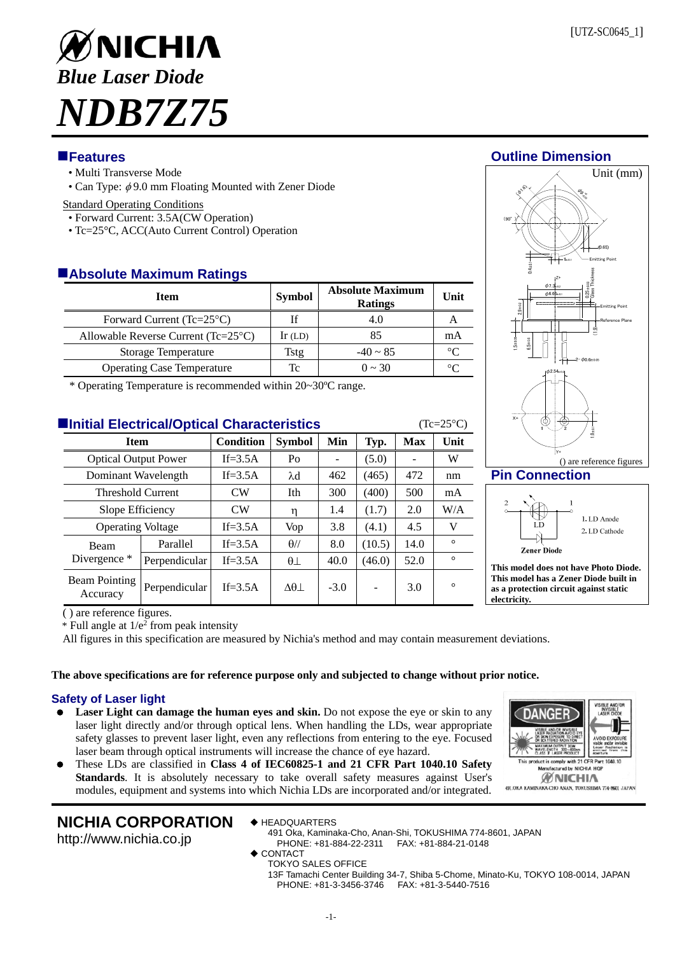

# **Features Outline Dimension**

- Multi Transverse Mode
- Can Type:  $\phi$  9.0 mm Floating Mounted with Zener Diode

### Standard Operating Conditions

- Forward Current: 3.5A(CW Operation)
- Tc=25°C, ACC(Auto Current Control) Operation

## **Absolute Maximum Ratings**

| <b>Item</b>                                    | <b>Symbol</b> | <b>Absolute Maximum</b><br><b>Ratings</b> | Unit        |
|------------------------------------------------|---------------|-------------------------------------------|-------------|
| Forward Current (Tc= $25^{\circ}$ C)           |               | 4.0                                       |             |
| Allowable Reverse Current ( $Tc=25^{\circ}C$ ) | $\ln$ (LD)    | 85                                        | mA          |
| <b>Storage Temperature</b>                     | Tstg          | $-40 \sim 85$                             | $^{\circ}C$ |
| <b>Operating Case Temperature</b>              | Tc            | $0 \sim 30$                               | ∘∩          |

\* Operating Temperature is recommended within 20~30ºC range.

| <b>Elnitial Electrical/Optical Characteristics</b><br>$(Tc=25\degree C)$ |               |                  |                        |        |        |            |         |  |
|--------------------------------------------------------------------------|---------------|------------------|------------------------|--------|--------|------------|---------|--|
| <b>Item</b>                                                              |               | <b>Condition</b> | <b>Symbol</b>          | Min    | Typ.   | <b>Max</b> | Unit    |  |
| <b>Optical Output Power</b>                                              |               | If= $3.5A$       | Po                     |        | (5.0)  |            | W       |  |
| Dominant Wavelength                                                      |               | $If = 3.5A$      | $\lambda$ d            | 462    | (465)  | 472        | nm      |  |
| <b>Threshold Current</b>                                                 |               | CW               | Ith                    | 300    | (400)  | 500        | mA      |  |
| Slope Efficiency                                                         |               | <b>CW</b>        | η                      | 1.4    | (1.7)  | 2.0        | W/A     |  |
| <b>Operating Voltage</b>                                                 |               | If= $3.5A$       | Vop                    | 3.8    | (4.1)  | 4.5        | V       |  |
| Beam<br>Divergence *                                                     | Parallel      | If= $3.5A$       | $\theta$ //            | 8.0    | (10.5) | 14.0       | $\circ$ |  |
|                                                                          | Perpendicular | $If = 3.5A$      | $\theta\bot$           | 40.0   | (46.0) | 52.0       | $\circ$ |  |
| Beam Pointing<br>Accuracy                                                | Perpendicular | $If = 3.5A$      | $\Delta\theta$ $\perp$ | $-3.0$ |        | 3.0        | $\circ$ |  |

Unit (mm)

() are reference figures **Pin Connection** 



**This model does not have Photo Diode. This model has a Zener Diode built in as a protection circuit against static electricity.** 

**ANG** 

duct is comply with 21 CFR Part **fectured by NICHIA HO ØNICHIA** 491. OKA KAMINAKA-CHO ANAN, TOKUSHIMA 774-8601 JAPAN

( ) are reference figures.

 $*$  Full angle at  $1/e<sup>2</sup>$  from peak intensity

All figures in this specification are measured by Nichia's method and may contain measurement deviations.

### **The above specifications are for reference purpose only and subjected to change without prior notice.**

### **Safety of Laser light**

- Laser Light can damage the human eyes and skin. Do not expose the eye or skin to any laser light directly and/or through optical lens. When handling the LDs, wear appropriate safety glasses to prevent laser light, even any reflections from entering to the eye. Focused laser beam through optical instruments will increase the chance of eye hazard.
- These LDs are classified in **Class 4 of IEC60825-1 and 21 CFR Part 1040.10 Safety Standards**. It is absolutely necessary to take overall safety measures against User's modules, equipment and systems into which Nichia LDs are incorporated and/or integrated.

# **NICHIA CORPORATION**

http://www.nichia.co.jp

- ◆ HEADQUARTERS
- 491 Oka, Kaminaka-Cho, Anan-Shi, TOKUSHIMA 774-8601, JAPAN PHONE: +81-884-22-2311 FAX: +81-884-21-0148
- $\bullet$  CONTACT
- TOKYO SALES OFFICE
	- 13F Tamachi Center Building 34-7, Shiba 5-Chome, Minato-Ku, TOKYO 108-0014, JAPAN PHONE: +81-3-3456-3746 FAX: +81-3-5440-7516